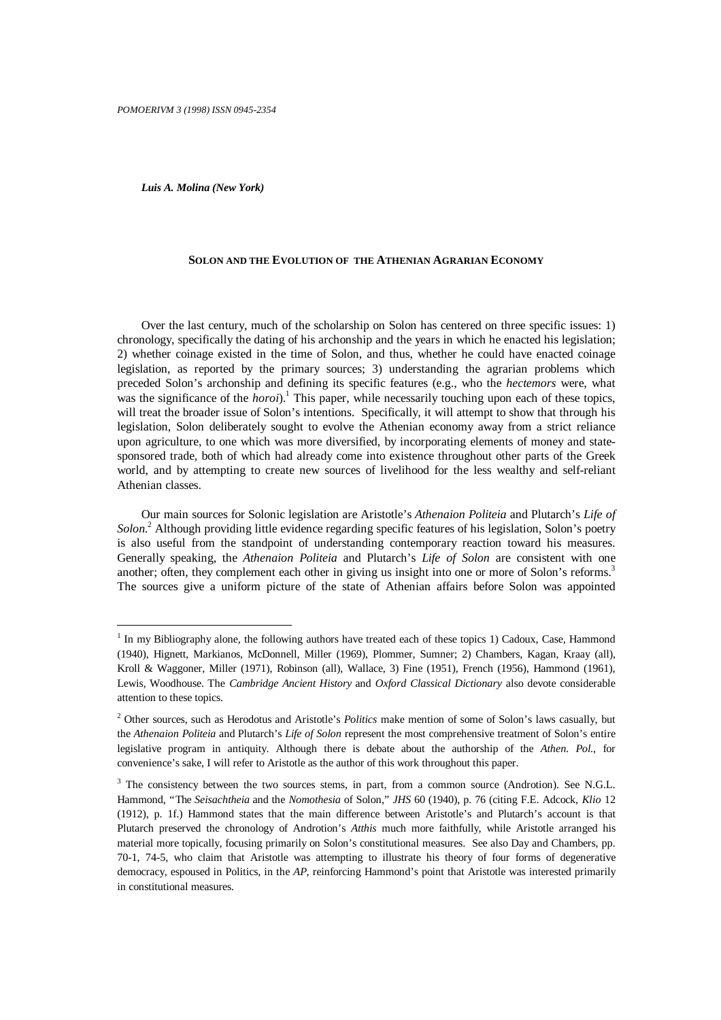*Luis A. Molina (New York)*

-

## **SOLON AND THE EVOLUTION OF THE ATHENIAN AGRARIAN ECONOMY**

Over the last century, much of the scholarship on Solon has centered on three specific issues: 1) chronology, specifically the dating of his archonship and the years in which he enacted his legislation; 2) whether coinage existed in the time of Solon, and thus, whether he could have enacted coinage legislation, as reported by the primary sources; 3) understanding the agrarian problems which preceded Solon's archonship and defining its specific features (e.g., who the *hectemors* were, what was the significance of the *horoi*).<sup>1</sup> This paper, while necessarily touching upon each of these topics, will treat the broader issue of Solon's intentions. Specifically, it will attempt to show that through his legislation, Solon deliberately sought to evolve the Athenian economy away from a strict reliance upon agriculture, to one which was more diversified, by incorporating elements of money and statesponsored trade, both of which had already come into existence throughout other parts of the Greek world, and by attempting to create new sources of livelihood for the less wealthy and self-reliant Athenian classes.

Our main sources for Solonic legislation are Aristotle's *Athenaion Politeia* and Plutarch's *Life of* Solon.<sup>2</sup> Although providing little evidence regarding specific features of his legislation, Solon's poetry is also useful from the standpoint of understanding contemporary reaction toward his measures. Generally speaking, the *Athenaion Politeia* and Plutarch's *Life of Solon* are consistent with one another; often, they complement each other in giving us insight into one or more of Solon's reforms.<sup>3</sup> The sources give a uniform picture of the state of Athenian affairs before Solon was appointed

<sup>&</sup>lt;sup>1</sup> In my Bibliography alone, the following authors have treated each of these topics 1) Cadoux, Case, Hammond (1940), Hignett, Markianos, McDonnell, Miller (1969), Plommer, Sumner; 2) Chambers, Kagan, Kraay (all), Kroll & Waggoner, Miller (1971), Robinson (all), Wallace, 3) Fine (1951), French (1956), Hammond (1961), Lewis, Woodhouse. The *Cambridge Ancient History* and *Oxford Classical Dictionary* also devote considerable attention to these topics.

<sup>2</sup> Other sources, such as Herodotus and Aristotle's *Politics* make mention of some of Solon's laws casually, but the *Athenaion Politeia* and Plutarch's *Life of Solon* represent the most comprehensive treatment of Solon's entire legislative program in antiquity. Although there is debate about the authorship of the *Athen. Pol.*, for convenience's sake, I will refer to Aristotle as the author of this work throughout this paper.

<sup>&</sup>lt;sup>3</sup> The consistency between the two sources stems, in part, from a common source (Androtion). See N.G.L. Hammond, "The *Seisachtheia* and the *Nomothesia* of Solon," *JHS* 60 (1940), p. 76 (citing F.E. Adcock, *Klio* 12 (1912), p. 1f.) Hammond states that the main difference between Aristotle's and Plutarch's account is that Plutarch preserved the chronology of Androtion's *Atthis* much more faithfully, while Aristotle arranged his material more topically, focusing primarily on Solon's constitutional measures. See also Day and Chambers, pp. 70-1, 74-5, who claim that Aristotle was attempting to illustrate his theory of four forms of degenerative democracy, espoused in Politics, in the *AP*, reinforcing Hammond's point that Aristotle was interested primarily in constitutional measures.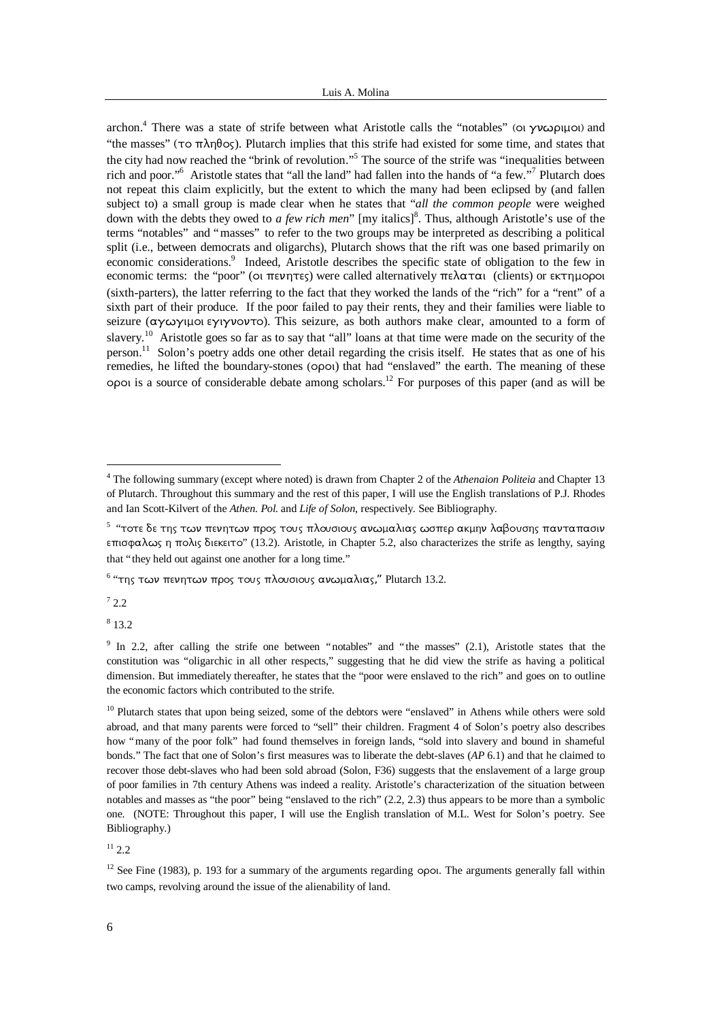archon.<sup>4</sup> There was a state of strife between what Aristotle calls the "notables" (oi  $\gamma\nu\omega\rho\mu\omega$ ) and "the masses" ( $\tau$ o  $\pi \lambda \eta \theta$ os). Plutarch implies that this strife had existed for some time, and states that the city had now reached the "brink of revolution."<sup>5</sup> The source of the strife was "inequalities between rich and poor."<sup>6</sup> Aristotle states that "all the land" had fallen into the hands of "a few."<sup>7</sup> Plutarch does not repeat this claim explicitly, but the extent to which the many had been eclipsed by (and fallen subject to) a small group is made clear when he states that "*all the common people* were weighed down with the debts they owed to *a few rich men*" [my italics]<sup>8</sup>. Thus, although Aristotle's use of the terms "notables" and "masses" to refer to the two groups may be interpreted as describing a political split (i.e., between democrats and oligarchs), Plutarch shows that the rift was one based primarily on economic considerations.<sup>9</sup> Indeed, Aristotle describes the specific state of obligation to the few in economic terms: the "poor" (oi  $\pi \epsilon \nu \eta \tau \epsilon$ ) were called alternatively  $\pi \epsilon \lambda \alpha \tau \alpha$  (clients) or  $\epsilon \kappa \tau \eta \mu$ opoi (sixth-parters), the latter referring to the fact that they worked the lands of the "rich" for a "rent" of a sixth part of their produce. If the poor failed to pay their rents, they and their families were liable to seizure ( $\alpha y \omega y \mu$ ol  $\epsilon y \nu y \nu \sigma y$  To). This seizure, as both authors make clear, amounted to a form of slavery.<sup>10</sup> Aristotle goes so far as to say that "all" loans at that time were made on the security of the person.<sup>11</sup> Solon's poetry adds one other detail regarding the crisis itself. He states that as one of his remedies, he lifted the boundary-stones (opoi) that had "enslaved" the earth. The meaning of these opoi is a source of considerable debate among scholars.<sup>12</sup> For purposes of this paper (and as will be

 $1^7$  2.2

l

8 13.2

 $11, 2, 2$ 

<sup>&</sup>lt;sup>4</sup> The following summary (except where noted) is drawn from Chapter 2 of the *Athenaion Politeia* and Chapter 13 of Plutarch. Throughout this summary and the rest of this paper, I will use the English translations of P.J. Rhodes and Ian Scott-Kilvert of the *Athen. Pol*. and *Life of Solon*, respectively. See Bibliography.

 $^{\text{\tiny{5}}}$  "τοτε δε της των πενητων προς τους πλουσιους ανωμαλιας ωσπερ ακμην λαβουσης πανταπασιν  $επισφαλως η πολις διεκειτο" (13.2). Aristotle, in Chapter 5.2, also characterizes the strife as lengthy, saying$ that "they held out against one another for a long time."

 $^6$  "της των πενητων προς τους πλουσιους ανωμαλιας," Plutarch 13.2.

<sup>&</sup>lt;sup>9</sup> In 2.2, after calling the strife one between "notables" and "the masses" (2.1), Aristotle states that the constitution was "oligarchic in all other respects," suggesting that he did view the strife as having a political dimension. But immediately thereafter, he states that the "poor were enslaved to the rich" and goes on to outline the economic factors which contributed to the strife.

<sup>&</sup>lt;sup>10</sup> Plutarch states that upon being seized, some of the debtors were "enslaved" in Athens while others were sold abroad, and that many parents were forced to "sell" their children. Fragment 4 of Solon's poetry also describes how "many of the poor folk" had found themselves in foreign lands, "sold into slavery and bound in shameful bonds." The fact that one of Solon's first measures was to liberate the debt-slaves (*AP* 6.1) and that he claimed to recover those debt-slaves who had been sold abroad (Solon, F36) suggests that the enslavement of a large group of poor families in 7th century Athens was indeed a reality. Aristotle's characterization of the situation between notables and masses as "the poor" being "enslaved to the rich" (2.2, 2.3) thus appears to be more than a symbolic one. (NOTE: Throughout this paper, I will use the English translation of M.L. West for Solon's poetry. See Bibliography.)

 $12$  See Fine (1983), p. 193 for a summary of the arguments regarding opol. The arguments generally fall within two camps, revolving around the issue of the alienability of land.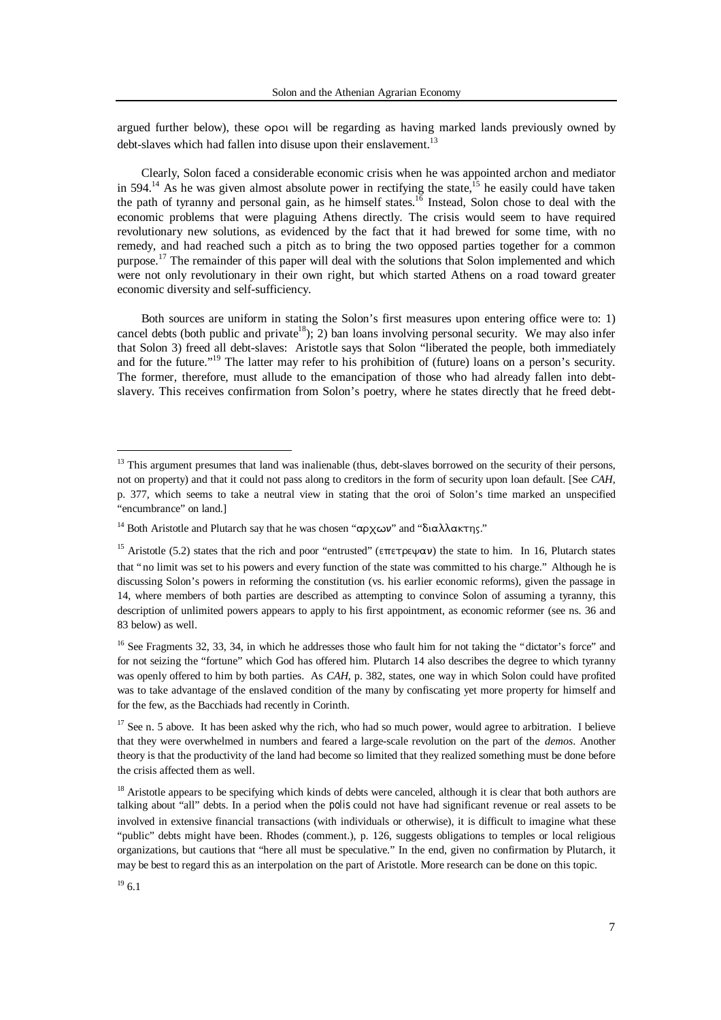argued further below), these opoi will be regarding as having marked lands previously owned by debt-slaves which had fallen into disuse upon their enslavement.<sup>13</sup>

Clearly, Solon faced a considerable economic crisis when he was appointed archon and mediator in 594.<sup>14</sup> As he was given almost absolute power in rectifying the state,<sup>15</sup> he easily could have taken the path of tyranny and personal gain, as he himself states.<sup>16</sup> Instead, Solon chose to deal with the economic problems that were plaguing Athens directly. The crisis would seem to have required revolutionary new solutions, as evidenced by the fact that it had brewed for some time, with no remedy, and had reached such a pitch as to bring the two opposed parties together for a common purpose.<sup>17</sup> The remainder of this paper will deal with the solutions that Solon implemented and which were not only revolutionary in their own right, but which started Athens on a road toward greater economic diversity and self-sufficiency.

Both sources are uniform in stating the Solon's first measures upon entering office were to: 1) cancel debts (both public and private<sup>18</sup>); 2) ban loans involving personal security. We may also infer that Solon 3) freed all debt-slaves: Aristotle says that Solon "liberated the people, both immediately and for the future."<sup>19</sup> The latter may refer to his prohibition of (future) loans on a person's security. The former, therefore, must allude to the emancipation of those who had already fallen into debtslavery. This receives confirmation from Solon's poetry, where he states directly that he freed debt-

 $13$  This argument presumes that land was inalienable (thus, debt-slaves borrowed on the security of their persons, not on property) and that it could not pass along to creditors in the form of security upon loan default. [See *CAH*, p. 377, which seems to take a neutral view in stating that the oroi of Solon's time marked an unspecified "encumbrance" on land.]

<sup>&</sup>lt;sup>14</sup> Both Aristotle and Plutarch say that he was chosen "αρχων" and "διαλλακτης."

<sup>&</sup>lt;sup>15</sup> Aristotle (5.2) states that the rich and poor "entrusted" ( $\epsilon \pi \epsilon \gamma \epsilon \psi \alpha \nu$ ) the state to him. In 16, Plutarch states that "no limit was set to his powers and every function of the state was committed to his charge." Although he is discussing Solon's powers in reforming the constitution (vs. his earlier economic reforms), given the passage in 14, where members of both parties are described as attempting to convince Solon of assuming a tyranny, this description of unlimited powers appears to apply to his first appointment, as economic reformer (see ns. 36 and 83 below) as well.

 $16$  See Fragments 32, 33, 34, in which he addresses those who fault him for not taking the "dictator's force" and for not seizing the "fortune" which God has offered him. Plutarch 14 also describes the degree to which tyranny was openly offered to him by both parties. As *CAH*, p. 382, states, one way in which Solon could have profited was to take advantage of the enslaved condition of the many by confiscating yet more property for himself and for the few, as the Bacchiads had recently in Corinth.

<sup>&</sup>lt;sup>17</sup> See n. 5 above. It has been asked why the rich, who had so much power, would agree to arbitration. I believe that they were overwhelmed in numbers and feared a large-scale revolution on the part of the *demos*. Another theory is that the productivity of the land had become so limited that they realized something must be done before the crisis affected them as well.

<sup>&</sup>lt;sup>18</sup> Aristotle appears to be specifying which kinds of debts were canceled, although it is clear that both authors are talking about "all" debts. In a period when the *polis* could not have had significant revenue or real assets to be involved in extensive financial transactions (with individuals or otherwise), it is difficult to imagine what these "public" debts might have been. Rhodes (comment.), p. 126, suggests obligations to temples or local religious organizations, but cautions that "here all must be speculative." In the end, given no confirmation by Plutarch, it may be best to regard this as an interpolation on the part of Aristotle. More research can be done on this topic.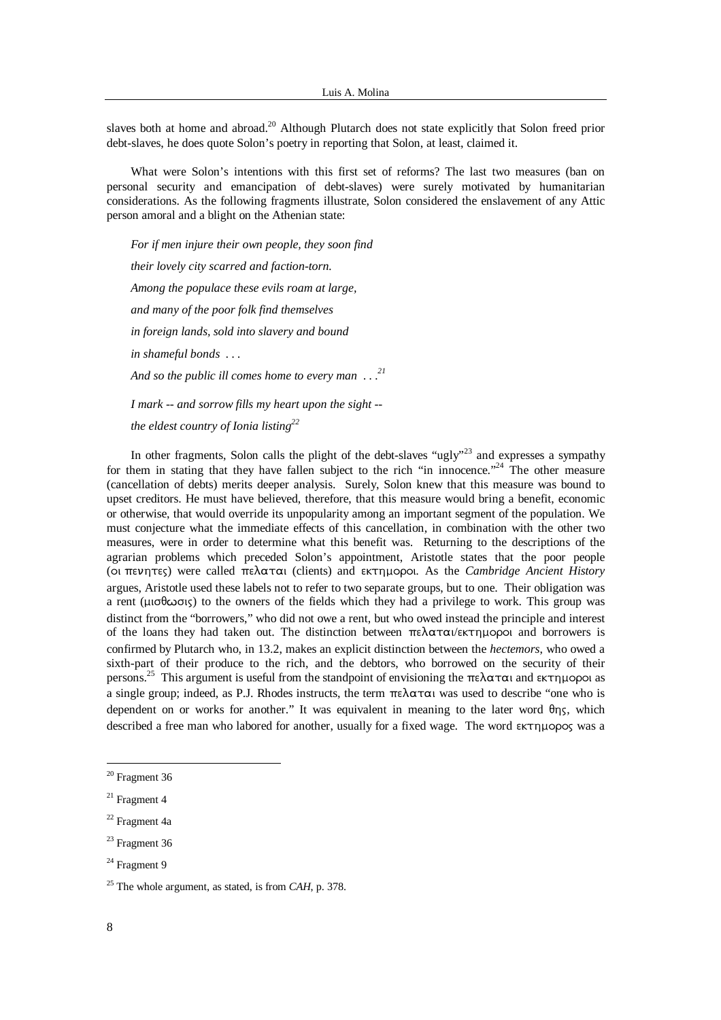slaves both at home and abroad.<sup>20</sup> Although Plutarch does not state explicitly that Solon freed prior debt-slaves, he does quote Solon's poetry in reporting that Solon, at least, claimed it.

What were Solon's intentions with this first set of reforms? The last two measures (ban on personal security and emancipation of debt-slaves) were surely motivated by humanitarian considerations. As the following fragments illustrate, Solon considered the enslavement of any Attic person amoral and a blight on the Athenian state:

*For if men injure their own people, they soon find their lovely city scarred and faction-torn. Among the populace these evils roam at large, and many of the poor folk find themselves in foreign lands, sold into slavery and bound in shameful bonds . . . And so the public ill comes home to every man . . .<sup>21</sup> I mark -- and sorrow fills my heart upon the sight - the eldest country of Ionia listing<sup>22</sup>*

In other fragments, Solon calls the plight of the debt-slaves "ugly"<sup>23</sup> and expresses a sympathy for them in stating that they have fallen subject to the rich "in innocence."<sup>24</sup> The other measure (cancellation of debts) merits deeper analysis. Surely, Solon knew that this measure was bound to upset creditors. He must have believed, therefore, that this measure would bring a benefit, economic or otherwise, that would override its unpopularity among an important segment of the population. We must conjecture what the immediate effects of this cancellation, in combination with the other two measures, were in order to determine what this benefit was. Returning to the descriptions of the agrarian problems which preceded Solon's appointment, Aristotle states that the poor people (oι πενητες) were called πελαται (clients) and εκτημοροι. As the *Cambridge Ancient History* argues, Aristotle used these labels not to refer to two separate groups, but to one. Their obligation was a rent ( $\mu$ io  $\sigma$ io siy) to the owners of the fields which they had a privilege to work. This group was distinct from the "borrowers," who did not owe a rent, but who owed instead the principle and interest of the loans they had taken out. The distinction between  $\pi \epsilon \lambda \alpha \tau \alpha / \epsilon \kappa \tau \eta \mu$  and borrowers is confirmed by Plutarch who, in 13.2, makes an explicit distinction between the *hectemors*, who owed a sixth-part of their produce to the rich, and the debtors, who borrowed on the security of their persons.<sup>25</sup> This argument is useful from the standpoint of envisioning the  $\pi \epsilon \lambda \alpha \tau \alpha$  and  $\epsilon \kappa \tau \eta \mu$  and as a single group; indeed, as P.J. Rhodes instructs, the term  $\pi \epsilon \lambda \alpha \tau \alpha$  was used to describe "one who is dependent on or works for another." It was equivalent in meaning to the later word  $\theta_{\eta\zeta}$ , which described a free man who labored for another, usually for a fixed wage. The word  $\epsilon$ KTIHOPOS was a

l

<sup>20</sup> Fragment 36

<sup>21</sup> Fragment 4

<sup>22</sup> Fragment 4a

<sup>&</sup>lt;sup>23</sup> Fragment 36

<sup>&</sup>lt;sup>24</sup> Fragment 9

<sup>25</sup> The whole argument, as stated, is from *CAH*, p. 378.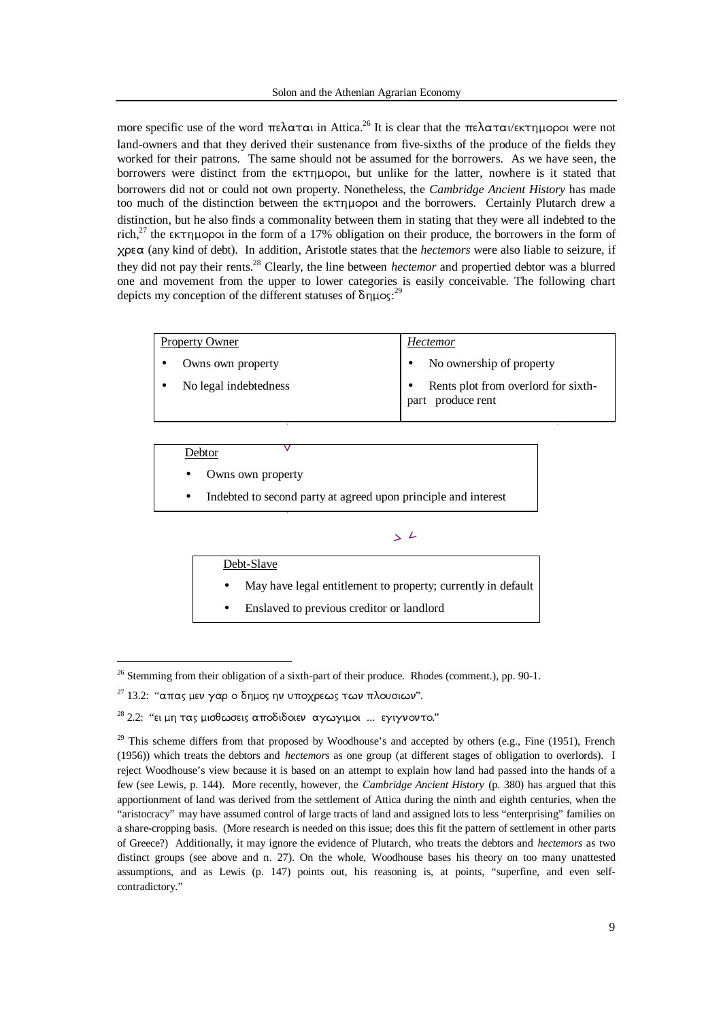more specific use of the word  $\pi \epsilon \lambda \alpha \tau \alpha$  in Attica.<sup>26</sup> It is clear that the  $\pi \epsilon \lambda \alpha \tau \alpha$ /εκτημοροι were not land-owners and that they derived their sustenance from five-sixths of the produce of the fields they worked for their patrons. The same should not be assumed for the borrowers. As we have seen, the borrowers were distinct from the  $\epsilon$ <sub>KT</sub> popol, but unlike for the latter, nowhere is it stated that borrowers did not or could not own property. Nonetheless, the *Cambridge Ancient History* has made too much of the distinction between the  $\epsilon \kappa \tau \eta \mu$  opol and the borrowers. Certainly Plutarch drew a distinction, but he also finds a commonality between them in stating that they were all indebted to the rich,<sup>27</sup> the  $\epsilon$  extribution in the form of a 17% obligation on their produce, the borrowers in the form of  $x$  $\alpha$  (any kind of debt). In addition, Aristotle states that the *hectemors* were also liable to seizure, if they did not pay their rents.<sup>28</sup> Clearly, the line between *hectemor* and propertied debtor was a blurred one and movement from the upper to lower categories is easily conceivable. The following chart depicts my conception of the different statuses of  $\delta \eta \mu$ os:<sup>29</sup>

| <b>Property Owner</b> |                       | <b>Hectemor</b> |                                                          |
|-----------------------|-----------------------|-----------------|----------------------------------------------------------|
|                       | Owns own property     |                 | No ownership of property                                 |
|                       | No legal indebtedness |                 | Rents plot from overlord for sixth-<br>part produce rent |

## Debtor

-

- Owns own property
- Indebted to second party at agreed upon principle and interest

## $\geq L$

Debt-Slave

- May have legal entitlement to property; currently in default
- Enslaved to previous creditor or landlord

<sup>&</sup>lt;sup>26</sup> Stemming from their obligation of a sixth-part of their produce. Rhodes (comment.), pp. 90-1.

 $27$  13.2: "απας μεν γαρ ο δημος ην υποχρεως των πλουσιων".

 $28$  2.2: "ει μη τας μισθωσεις αποδιδοιεν αγωγιμοι ... εγιγνοντο."

 $29$  This scheme differs from that proposed by Woodhouse's and accepted by others (e.g., Fine (1951), French (1956)) which treats the debtors and *hectemors* as one group (at different stages of obligation to overlords). I reject Woodhouse's view because it is based on an attempt to explain how land had passed into the hands of a few (see Lewis, p. 144). More recently, however, the *Cambridge Ancient History* (p. 380) has argued that this apportionment of land was derived from the settlement of Attica during the ninth and eighth centuries, when the "aristocracy" may have assumed control of large tracts of land and assigned lots to less "enterprising" families on a share-cropping basis. (More research is needed on this issue; does this fit the pattern of settlement in other parts of Greece?) Additionally, it may ignore the evidence of Plutarch, who treats the debtors and *hectemors* as two distinct groups (see above and n. 27). On the whole, Woodhouse bases his theory on too many unattested assumptions, and as Lewis (p. 147) points out, his reasoning is, at points, "superfine, and even selfcontradictory."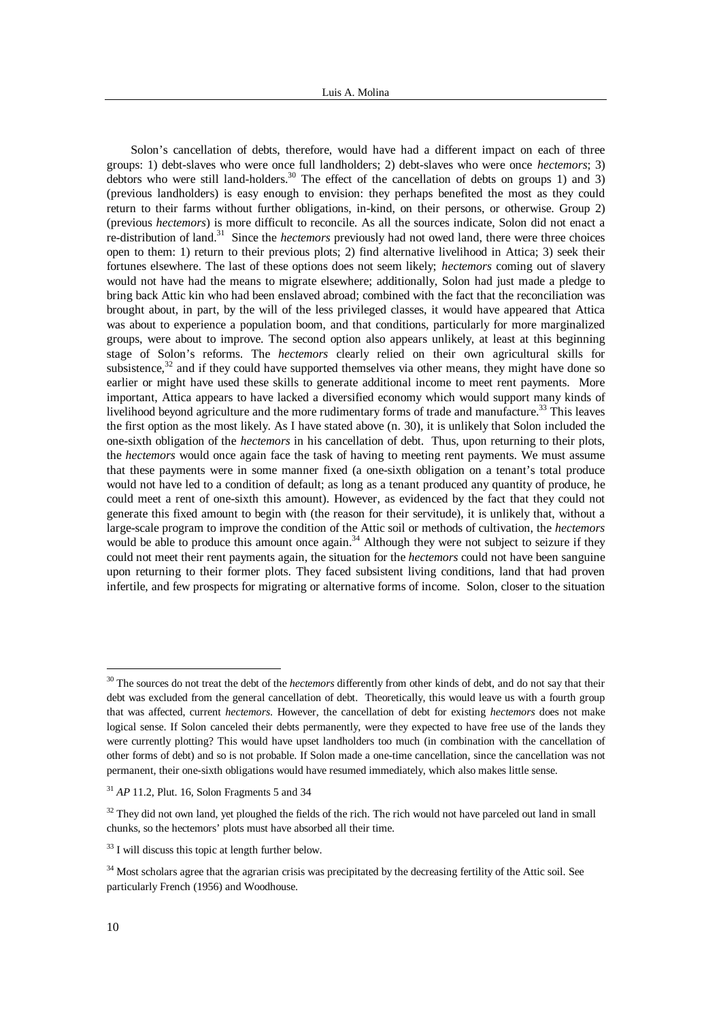Solon's cancellation of debts, therefore, would have had a different impact on each of three groups: 1) debt-slaves who were once full landholders; 2) debt-slaves who were once *hectemors*; 3) debtors who were still land-holders.<sup>30</sup> The effect of the cancellation of debts on groups 1) and 3) (previous landholders) is easy enough to envision: they perhaps benefited the most as they could return to their farms without further obligations, in-kind, on their persons, or otherwise. Group 2) (previous *hectemors*) is more difficult to reconcile. As all the sources indicate, Solon did not enact a re-distribution of land.<sup>31</sup> Since the *hectemors* previously had not owed land, there were three choices open to them: 1) return to their previous plots; 2) find alternative livelihood in Attica; 3) seek their fortunes elsewhere. The last of these options does not seem likely; *hectemors* coming out of slavery would not have had the means to migrate elsewhere; additionally, Solon had just made a pledge to bring back Attic kin who had been enslaved abroad; combined with the fact that the reconciliation was brought about, in part, by the will of the less privileged classes, it would have appeared that Attica was about to experience a population boom, and that conditions, particularly for more marginalized groups, were about to improve. The second option also appears unlikely, at least at this beginning stage of Solon's reforms. The *hectemors* clearly relied on their own agricultural skills for subsistence, $32$  and if they could have supported themselves via other means, they might have done so earlier or might have used these skills to generate additional income to meet rent payments. More important, Attica appears to have lacked a diversified economy which would support many kinds of livelihood beyond agriculture and the more rudimentary forms of trade and manufacture.<sup>33</sup> This leaves the first option as the most likely. As I have stated above (n. 30), it is unlikely that Solon included the one-sixth obligation of the *hectemors* in his cancellation of debt. Thus, upon returning to their plots, the *hectemors* would once again face the task of having to meeting rent payments. We must assume that these payments were in some manner fixed (a one-sixth obligation on a tenant's total produce would not have led to a condition of default; as long as a tenant produced any quantity of produce, he could meet a rent of one-sixth this amount). However, as evidenced by the fact that they could not generate this fixed amount to begin with (the reason for their servitude), it is unlikely that, without a large-scale program to improve the condition of the Attic soil or methods of cultivation, the *hectemors* would be able to produce this amount once again.<sup>34</sup> Although they were not subject to seizure if they could not meet their rent payments again, the situation for the *hectemors* could not have been sanguine upon returning to their former plots. They faced subsistent living conditions, land that had proven infertile, and few prospects for migrating or alternative forms of income. Solon, closer to the situation

l

<sup>&</sup>lt;sup>30</sup> The sources do not treat the debt of the *hectemors* differently from other kinds of debt, and do not say that their debt was excluded from the general cancellation of debt. Theoretically, this would leave us with a fourth group that was affected, current *hectemors*. However, the cancellation of debt for existing *hectemors* does not make logical sense. If Solon canceled their debts permanently, were they expected to have free use of the lands they were currently plotting? This would have upset landholders too much (in combination with the cancellation of other forms of debt) and so is not probable. If Solon made a one-time cancellation, since the cancellation was not permanent, their one-sixth obligations would have resumed immediately, which also makes little sense.

<sup>31</sup> *AP* 11.2, Plut. 16, Solon Fragments 5 and 34

 $32$  They did not own land, yet ploughed the fields of the rich. The rich would not have parceled out land in small chunks, so the hectemors' plots must have absorbed all their time.

<sup>33</sup> I will discuss this topic at length further below.

<sup>&</sup>lt;sup>34</sup> Most scholars agree that the agrarian crisis was precipitated by the decreasing fertility of the Attic soil. See particularly French (1956) and Woodhouse.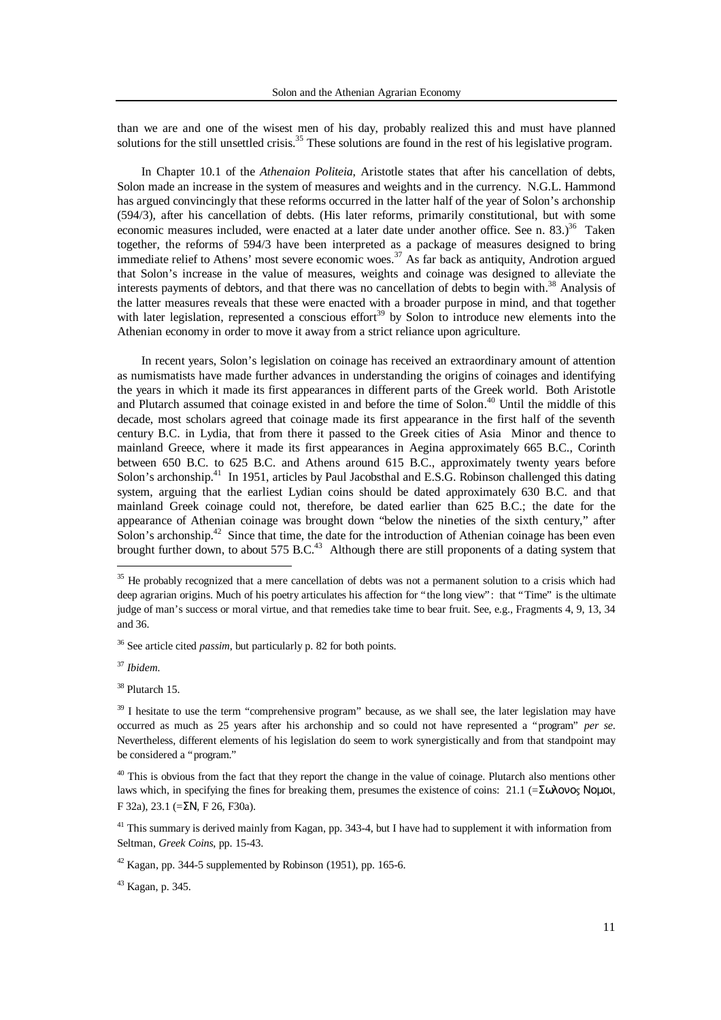than we are and one of the wisest men of his day, probably realized this and must have planned solutions for the still unsettled crisis.<sup>35</sup> These solutions are found in the rest of his legislative program.

In Chapter 10.1 of the *Athenaion Politeia*, Aristotle states that after his cancellation of debts, Solon made an increase in the system of measures and weights and in the currency. N.G.L. Hammond has argued convincingly that these reforms occurred in the latter half of the year of Solon's archonship (594/3), after his cancellation of debts. (His later reforms, primarily constitutional, but with some economic measures included, were enacted at a later date under another office. See n. 83.)<sup>36</sup> Taken together, the reforms of 594/3 have been interpreted as a package of measures designed to bring immediate relief to Athens' most severe economic woes.<sup>37</sup> As far back as antiquity, Androtion argued that Solon's increase in the value of measures, weights and coinage was designed to alleviate the interests payments of debtors, and that there was no cancellation of debts to begin with.<sup>38</sup> Analysis of the latter measures reveals that these were enacted with a broader purpose in mind, and that together with later legislation, represented a conscious effort<sup>39</sup> by Solon to introduce new elements into the Athenian economy in order to move it away from a strict reliance upon agriculture.

In recent years, Solon's legislation on coinage has received an extraordinary amount of attention as numismatists have made further advances in understanding the origins of coinages and identifying the years in which it made its first appearances in different parts of the Greek world. Both Aristotle and Plutarch assumed that coinage existed in and before the time of Solon.<sup>40</sup> Until the middle of this decade, most scholars agreed that coinage made its first appearance in the first half of the seventh century B.C. in Lydia, that from there it passed to the Greek cities of Asia Minor and thence to mainland Greece, where it made its first appearances in Aegina approximately 665 B.C., Corinth between 650 B.C. to 625 B.C. and Athens around 615 B.C., approximately twenty years before Solon's archonship.<sup>41</sup> In 1951, articles by Paul Jacobsthal and E.S.G. Robinson challenged this dating system, arguing that the earliest Lydian coins should be dated approximately 630 B.C. and that mainland Greek coinage could not, therefore, be dated earlier than 625 B.C.; the date for the appearance of Athenian coinage was brought down "below the nineties of the sixth century," after Solon's archonship.<sup>42</sup> Since that time, the date for the introduction of Athenian coinage has been even brought further down, to about 575 B.C.<sup>43</sup> Although there are still proponents of a dating system that

<sup>&</sup>lt;sup>35</sup> He probably recognized that a mere cancellation of debts was not a permanent solution to a crisis which had deep agrarian origins. Much of his poetry articulates his affection for "the long view": that "Time" is the ultimate judge of man's success or moral virtue, and that remedies take time to bear fruit. See, e.g., Fragments 4, 9, 13, 34 and 36.

<sup>36</sup> See article cited *passim*, but particularly p. 82 for both points.

<sup>37</sup> *Ibidem.*

<sup>38</sup> Plutarch 15.

<sup>&</sup>lt;sup>39</sup> I hesitate to use the term "comprehensive program" because, as we shall see, the later legislation may have occurred as much as 25 years after his archonship and so could not have represented a "program" *per se*. Nevertheless, different elements of his legislation do seem to work synergistically and from that standpoint may be considered a "program."

 $40$  This is obvious from the fact that they report the change in the value of coinage. Plutarch also mentions other laws which, in specifying the fines for breaking them, presumes the existence of coins: 21.1 (=Σωλονος Νομοι, F 32a), 23.1 ( $=\Sigma N$ , F 26, F30a).

<sup>&</sup>lt;sup>41</sup> This summary is derived mainly from Kagan, pp. 343-4, but I have had to supplement it with information from Seltman, *Greek Coins*, pp. 15-43.

 $42$  Kagan, pp. 344-5 supplemented by Robinson (1951), pp. 165-6.

<sup>43</sup> Kagan, p. 345.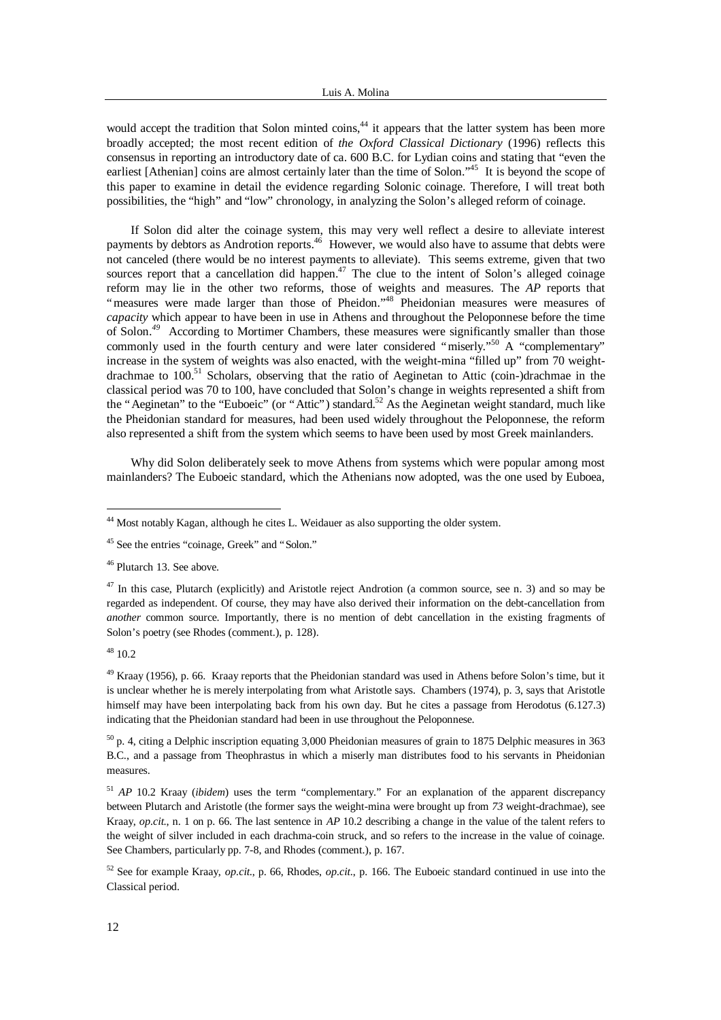would accept the tradition that Solon minted coins,<sup>44</sup> it appears that the latter system has been more broadly accepted; the most recent edition of *the Oxford Classical Dictionary* (1996) reflects this consensus in reporting an introductory date of ca. 600 B.C. for Lydian coins and stating that "even the earliest [Athenian] coins are almost certainly later than the time of Solon."<sup>45</sup> It is beyond the scope of this paper to examine in detail the evidence regarding Solonic coinage. Therefore, I will treat both possibilities, the "high" and "low" chronology, in analyzing the Solon's alleged reform of coinage.

If Solon did alter the coinage system, this may very well reflect a desire to alleviate interest payments by debtors as Androtion reports.<sup>46</sup> However, we would also have to assume that debts were not canceled (there would be no interest payments to alleviate). This seems extreme, given that two sources report that a cancellation did happen.<sup>47</sup> The clue to the intent of Solon's alleged coinage reform may lie in the other two reforms, those of weights and measures. The *AP* reports that "measures were made larger than those of Pheidon."<sup>48</sup> Pheidonian measures were measures of *capacity* which appear to have been in use in Athens and throughout the Peloponnese before the time of Solon.*<sup>49</sup>* According to Mortimer Chambers, these measures were significantly smaller than those commonly used in the fourth century and were later considered "miserly." A "complementary" increase in the system of weights was also enacted, with the weight-mina "filled up" from 70 weightdrachmae to  $100$ .<sup>51</sup> Scholars, observing that the ratio of Aeginetan to Attic (coin-)drachmae in the classical period was 70 to 100, have concluded that Solon's change in weights represented a shift from the "Aeginetan" to the "Euboeic" (or "Attic") standard.<sup>52</sup> As the Aeginetan weight standard, much like the Pheidonian standard for measures, had been used widely throughout the Peloponnese, the reform also represented a shift from the system which seems to have been used by most Greek mainlanders.

Why did Solon deliberately seek to move Athens from systems which were popular among most mainlanders? The Euboeic standard, which the Athenians now adopted, was the one used by Euboea,

<sup>46</sup> Plutarch 13. See above.

 $48$  10.2

l

<sup>49</sup> Kraay (1956), p. 66. Kraay reports that the Pheidonian standard was used in Athens before Solon's time, but it is unclear whether he is merely interpolating from what Aristotle says. Chambers (1974), p. 3, says that Aristotle himself may have been interpolating back from his own day. But he cites a passage from Herodotus (6.127.3) indicating that the Pheidonian standard had been in use throughout the Peloponnese.

 $50$  p. 4, citing a Delphic inscription equating 3,000 Pheidonian measures of grain to 1875 Delphic measures in 363 B.C., and a passage from Theophrastus in which a miserly man distributes food to his servants in Pheidonian measures.

<sup>51</sup> *AP* 10.2 Kraay (*ibidem*) uses the term "complementary." For an explanation of the apparent discrepancy between Plutarch and Aristotle (the former says the weight-mina were brought up from *73* weight-drachmae), see Kraay, *op.cit*., n. 1 on p. 66. The last sentence in *AP* 10.2 describing a change in the value of the talent refers to the weight of silver included in each drachma-coin struck, and so refers to the increase in the value of coinage. See Chambers, particularly pp. 7-8, and Rhodes (comment.), p. 167.

<sup>52</sup> See for example Kraay, *op.cit*., p. 66, Rhodes, *op.cit*., p. 166. The Euboeic standard continued in use into the Classical period.

<sup>44</sup> Most notably Kagan, although he cites L. Weidauer as also supporting the older system.

<sup>45</sup> See the entries "coinage, Greek" and "Solon."

<sup>&</sup>lt;sup>47</sup> In this case, Plutarch (explicitly) and Aristotle reject Androtion (a common source, see n. 3) and so may be regarded as independent. Of course, they may have also derived their information on the debt-cancellation from *another* common source. Importantly, there is no mention of debt cancellation in the existing fragments of Solon's poetry (see Rhodes (comment.), p. 128).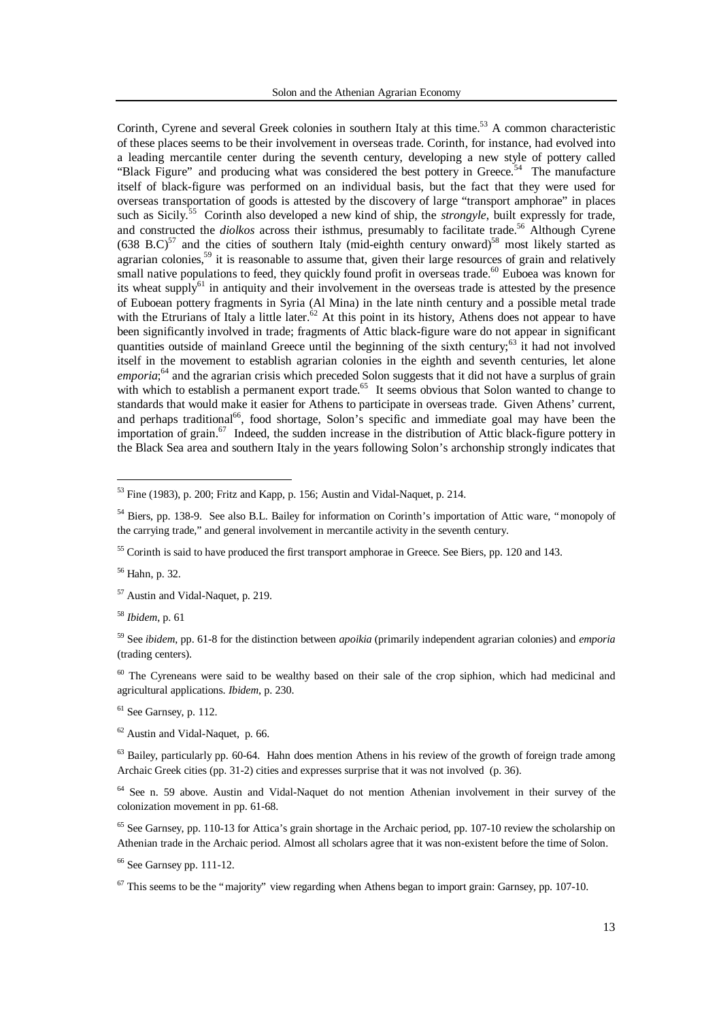Corinth, Cyrene and several Greek colonies in southern Italy at this time.<sup>53</sup> A common characteristic of these places seems to be their involvement in overseas trade. Corinth, for instance, had evolved into a leading mercantile center during the seventh century, developing a new style of pottery called "Black Figure" and producing what was considered the best pottery in Greece.<sup>54</sup> The manufacture itself of black-figure was performed on an individual basis, but the fact that they were used for overseas transportation of goods is attested by the discovery of large "transport amphorae" in places such as Sicily.<sup>55</sup> Corinth also developed a new kind of ship, the *strongyle*, built expressly for trade, and constructed the *diolkos* across their isthmus, presumably to facilitate trade.<sup>56</sup> Although Cyrene  $(638 \text{ B.C})^{57}$  and the cities of southern Italy (mid-eighth century onward)<sup>58</sup> most likely started as agrarian colonies,<sup>59</sup> it is reasonable to assume that, given their large resources of grain and relatively small native populations to feed, they quickly found profit in overseas trade.<sup>60</sup> Euboea was known for its wheat supply<sup>61</sup> in antiquity and their involvement in the overseas trade is attested by the presence of Euboean pottery fragments in Syria (Al Mina) in the late ninth century and a possible metal trade with the Etrurians of Italy a little later.<sup>62</sup> At this point in its history, Athens does not appear to have been significantly involved in trade; fragments of Attic black-figure ware do not appear in significant quantities outside of mainland Greece until the beginning of the sixth century;<sup>63</sup> it had not involved itself in the movement to establish agrarian colonies in the eighth and seventh centuries, let alone emporia;<sup>64</sup> and the agrarian crisis which preceded Solon suggests that it did not have a surplus of grain with which to establish a permanent export trade.<sup>65</sup> It seems obvious that Solon wanted to change to standards that would make it easier for Athens to participate in overseas trade. Given Athens' current, and perhaps traditional<sup>66</sup>, food shortage, Solon's specific and immediate goal may have been the importation of grain.<sup>67</sup> Indeed, the sudden increase in the distribution of Attic black-figure pottery in the Black Sea area and southern Italy in the years following Solon's archonship strongly indicates that

<sup>55</sup> Corinth is said to have produced the first transport amphorae in Greece. See Biers, pp. 120 and 143.

<sup>56</sup> Hahn, p. 32.

-

<sup>57</sup> Austin and Vidal-Naquet, p. 219.

<sup>58</sup> *Ibidem*, p. 61

 $60$  The Cyreneans were said to be wealthy based on their sale of the crop siphion, which had medicinal and agricultural applications. *Ibidem*, p. 230.

 $61$  See Garnsey, p. 112.

<sup>62</sup> Austin and Vidal-Naquet, p. 66.

 $63$  Bailey, particularly pp. 60-64. Hahn does mention Athens in his review of the growth of foreign trade among Archaic Greek cities (pp. 31-2) cities and expresses surprise that it was not involved (p. 36).

<sup>64</sup> See n. 59 above. Austin and Vidal-Naquet do not mention Athenian involvement in their survey of the colonization movement in pp. 61-68.

 $65$  See Garnsey, pp. 110-13 for Attica's grain shortage in the Archaic period, pp. 107-10 review the scholarship on Athenian trade in the Archaic period. Almost all scholars agree that it was non-existent before the time of Solon.

<sup>66</sup> See Garnsey pp. 111-12.

 $67$  This seems to be the "majority" view regarding when Athens began to import grain: Garnsey, pp. 107-10.

 $53$  Fine (1983), p. 200; Fritz and Kapp, p. 156; Austin and Vidal-Naquet, p. 214.

<sup>54</sup> Biers, pp. 138-9. See also B.L. Bailey for information on Corinth's importation of Attic ware, "monopoly of the carrying trade," and general involvement in mercantile activity in the seventh century.

<sup>59</sup> See *ibidem*, pp. 61-8 for the distinction between *apoikia* (primarily independent agrarian colonies) and *emporia* (trading centers).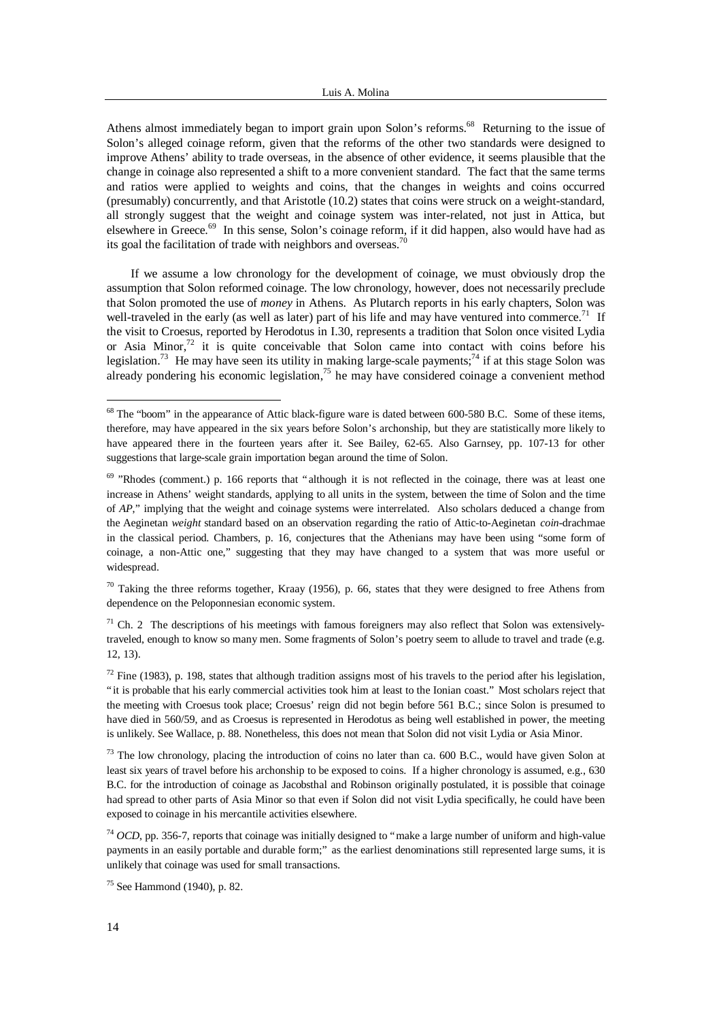Athens almost immediately began to import grain upon Solon's reforms.<sup>68</sup> Returning to the issue of Solon's alleged coinage reform, given that the reforms of the other two standards were designed to improve Athens' ability to trade overseas, in the absence of other evidence, it seems plausible that the change in coinage also represented a shift to a more convenient standard. The fact that the same terms and ratios were applied to weights and coins, that the changes in weights and coins occurred (presumably) concurrently, and that Aristotle (10.2) states that coins were struck on a weight-standard, all strongly suggest that the weight and coinage system was inter-related, not just in Attica, but elsewhere in Greece.<sup>69</sup> In this sense, Solon's coinage reform, if it did happen, also would have had as its goal the facilitation of trade with neighbors and overseas.<sup>70</sup>

If we assume a low chronology for the development of coinage, we must obviously drop the assumption that Solon reformed coinage. The low chronology, however, does not necessarily preclude that Solon promoted the use of *money* in Athens. As Plutarch reports in his early chapters, Solon was well-traveled in the early (as well as later) part of his life and may have ventured into commerce.<sup>71</sup> If the visit to Croesus, reported by Herodotus in I.30, represents a tradition that Solon once visited Lydia or Asia Minor, $72$  it is quite conceivable that Solon came into contact with coins before his legislation.<sup>73</sup> He may have seen its utility in making large-scale payments;<sup>74</sup> if at this stage Solon was already pondering his economic legislation,<sup>75</sup> he may have considered coinage a convenient method

 $70$  Taking the three reforms together, Kraay (1956), p. 66, states that they were designed to free Athens from dependence on the Peloponnesian economic system.

 $71$  Ch. 2 The descriptions of his meetings with famous foreigners may also reflect that Solon was extensivelytraveled, enough to know so many men. Some fragments of Solon's poetry seem to allude to travel and trade (e.g. 12, 13).

<sup>&</sup>lt;sup>68</sup> The "boom" in the appearance of Attic black-figure ware is dated between 600-580 B.C. Some of these items, therefore, may have appeared in the six years before Solon's archonship, but they are statistically more likely to have appeared there in the fourteen years after it. See Bailey, 62-65. Also Garnsey, pp. 107-13 for other suggestions that large-scale grain importation began around the time of Solon.

 $69$  "Rhodes (comment.) p. 166 reports that "although it is not reflected in the coinage, there was at least one increase in Athens' weight standards, applying to all units in the system, between the time of Solon and the time of *AP*," implying that the weight and coinage systems were interrelated. Also scholars deduced a change from the Aeginetan *weight* standard based on an observation regarding the ratio of Attic-to-Aeginetan *coin*-drachmae in the classical period. Chambers, p. 16, conjectures that the Athenians may have been using "some form of coinage, a non-Attic one," suggesting that they may have changed to a system that was more useful or widespread.

 $72$  Fine (1983), p. 198, states that although tradition assigns most of his travels to the period after his legislation, "it is probable that his early commercial activities took him at least to the Ionian coast." Most scholars reject that the meeting with Croesus took place; Croesus' reign did not begin before 561 B.C.; since Solon is presumed to have died in 560/59, and as Croesus is represented in Herodotus as being well established in power, the meeting is unlikely. See Wallace, p. 88. Nonetheless, this does not mean that Solon did not visit Lydia or Asia Minor.

<sup>&</sup>lt;sup>73</sup> The low chronology, placing the introduction of coins no later than ca. 600 B.C., would have given Solon at least six years of travel before his archonship to be exposed to coins. If a higher chronology is assumed, e.g., 630 B.C. for the introduction of coinage as Jacobsthal and Robinson originally postulated, it is possible that coinage had spread to other parts of Asia Minor so that even if Solon did not visit Lydia specifically, he could have been exposed to coinage in his mercantile activities elsewhere.

<sup>74</sup> *OCD*, pp. 356-7, reports that coinage was initially designed to "make a large number of uniform and high-value payments in an easily portable and durable form;" as the earliest denominations still represented large sums, it is unlikely that coinage was used for small transactions.

<sup>75</sup> See Hammond (1940), p. 82.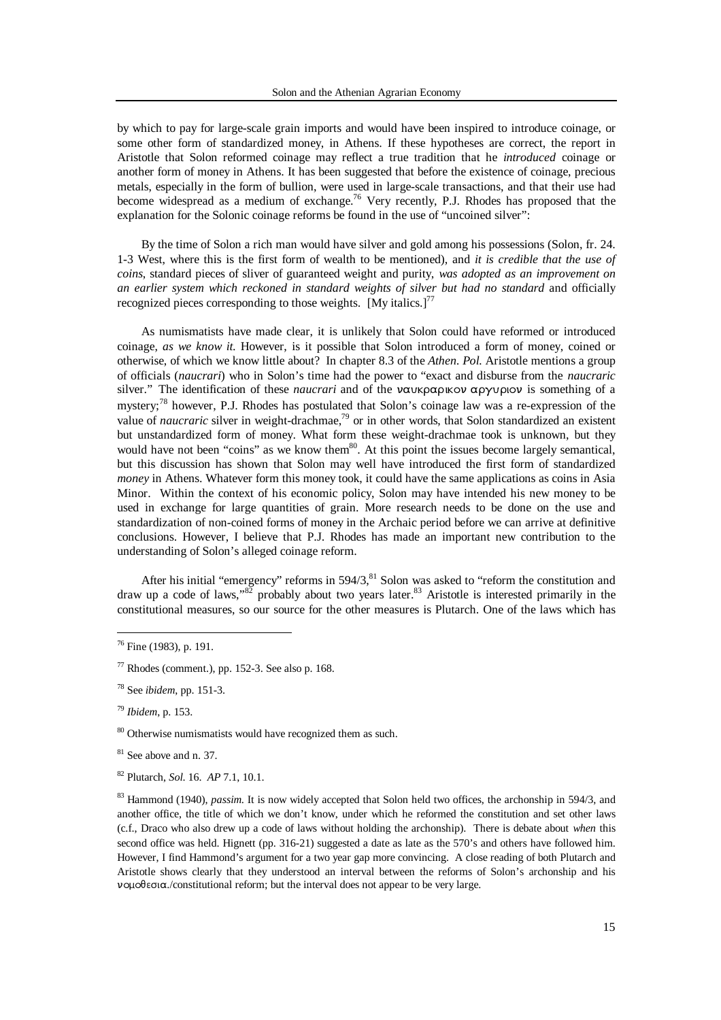by which to pay for large-scale grain imports and would have been inspired to introduce coinage, or some other form of standardized money, in Athens. If these hypotheses are correct, the report in Aristotle that Solon reformed coinage may reflect a true tradition that he *introduced* coinage or another form of money in Athens. It has been suggested that before the existence of coinage, precious metals, especially in the form of bullion, were used in large-scale transactions, and that their use had become widespread as a medium of exchange.<sup>76</sup> Very recently, P.J. Rhodes has proposed that the explanation for the Solonic coinage reforms be found in the use of "uncoined silver":

By the time of Solon a rich man would have silver and gold among his possessions (Solon, fr. 24. 1-3 West, where this is the first form of wealth to be mentioned), and *it is credible that the use of coins*, standard pieces of sliver of guaranteed weight and purity, *was adopted as an improvement on an earlier system which reckoned in standard weights of silver but had no standard* and officially recognized pieces corresponding to those weights.  $[M<sub>V</sub>]$  italics.]<sup>77</sup>

As numismatists have made clear, it is unlikely that Solon could have reformed or introduced coinage, *as we know it*. However, is it possible that Solon introduced a form of money, coined or otherwise, of which we know little about? In chapter 8.3 of the *Athen. Pol.* Aristotle mentions a group of officials (*naucrari*) who in Solon's time had the power to "exact and disburse from the *naucraric* silver." The identification of these *naucrari* and of the vaukpapukov apyuplov is something of a mystery;<sup>78</sup> however, P.J. Rhodes has postulated that Solon's coinage law was a re-expression of the value of *naucraric* silver in weight-drachmae,<sup>79</sup> or in other words, that Solon standardized an existent but unstandardized form of money. What form these weight-drachmae took is unknown, but they would have not been "coins" as we know them $80$ . At this point the issues become largely semantical, but this discussion has shown that Solon may well have introduced the first form of standardized *money* in Athens. Whatever form this money took, it could have the same applications as coins in Asia Minor. Within the context of his economic policy, Solon may have intended his new money to be used in exchange for large quantities of grain. More research needs to be done on the use and standardization of non-coined forms of money in the Archaic period before we can arrive at definitive conclusions. However, I believe that P.J. Rhodes has made an important new contribution to the understanding of Solon's alleged coinage reform.

After his initial "emergency" reforms in  $594/3$ ,  $81$  Solon was asked to "reform the constitution and draw up a code of laws,"<sup>82</sup> probably about two years later.<sup>83</sup> Aristotle is interested primarily in the constitutional measures, so our source for the other measures is Plutarch. One of the laws which has

 $76$  Fine (1983), p. 191.

 $77$  Rhodes (comment.), pp. 152-3. See also p. 168.

<sup>78</sup> See *ibidem*, pp. 151-3.

<sup>79</sup> *Ibidem*, p. 153.

<sup>&</sup>lt;sup>80</sup> Otherwise numismatists would have recognized them as such.

<sup>&</sup>lt;sup>81</sup> See above and n. 37.

<sup>82</sup> Plutarch, *Sol*. 16. *AP* 7.1, 10.1.

<sup>83</sup> Hammond (1940), *passim*. It is now widely accepted that Solon held two offices, the archonship in 594/3, and another office, the title of which we don't know, under which he reformed the constitution and set other laws (c.f., Draco who also drew up a code of laws without holding the archonship). There is debate about *when* this second office was held. Hignett (pp. 316-21) suggested a date as late as the 570's and others have followed him. However, I find Hammond's argument for a two year gap more convincing. A close reading of both Plutarch and Aristotle shows clearly that they understood an interval between the reforms of Solon's archonship and his  $\nu$ o $\mu$ o $\theta$ εσι $\alpha$ ./constitutional reform; but the interval does not appear to be very large.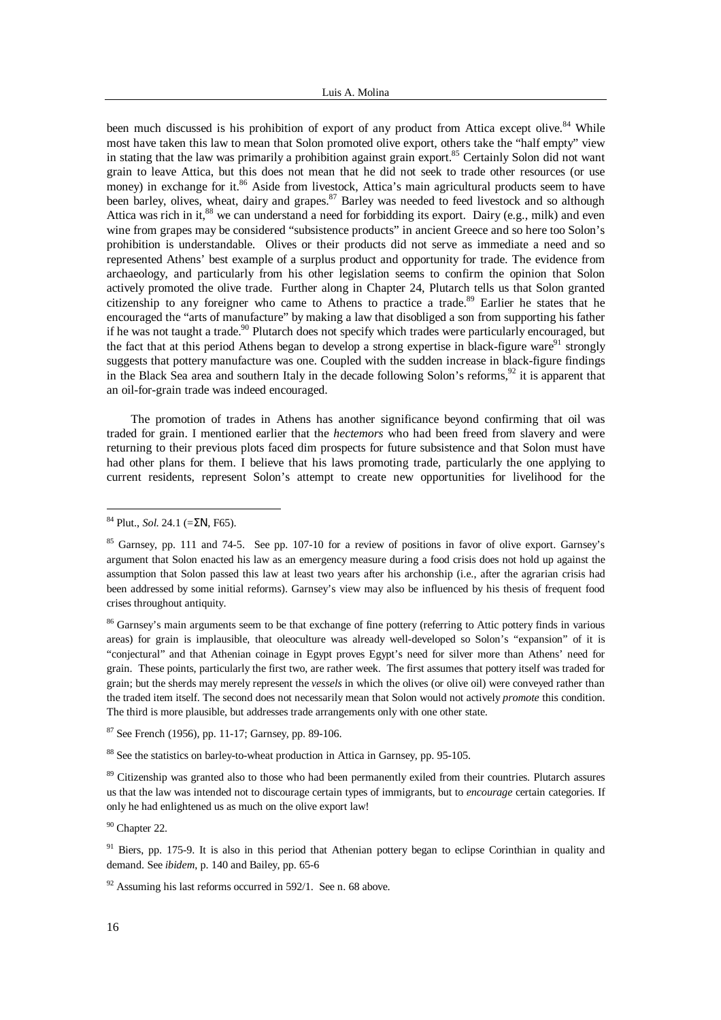been much discussed is his prohibition of export of any product from Attica except olive.<sup>84</sup> While most have taken this law to mean that Solon promoted olive export, others take the "half empty" view in stating that the law was primarily a prohibition against grain export.<sup>85</sup> Certainly Solon did not want grain to leave Attica, but this does not mean that he did not seek to trade other resources (or use money) in exchange for it.<sup>86</sup> Aside from livestock, Attica's main agricultural products seem to have been barley, olives, wheat, dairy and grapes.<sup>87</sup> Barley was needed to feed livestock and so although Attica was rich in it,<sup>88</sup> we can understand a need for forbidding its export. Dairy (e.g., milk) and even wine from grapes may be considered "subsistence products" in ancient Greece and so here too Solon's prohibition is understandable. Olives or their products did not serve as immediate a need and so represented Athens' best example of a surplus product and opportunity for trade. The evidence from archaeology, and particularly from his other legislation seems to confirm the opinion that Solon actively promoted the olive trade. Further along in Chapter 24, Plutarch tells us that Solon granted citizenship to any foreigner who came to Athens to practice a trade.<sup>89</sup> Earlier he states that he encouraged the "arts of manufacture" by making a law that disobliged a son from supporting his father if he was not taught a trade.<sup>90</sup> Plutarch does not specify which trades were particularly encouraged, but the fact that at this period Athens began to develop a strong expertise in black-figure ware<sup>91</sup> strongly suggests that pottery manufacture was one. Coupled with the sudden increase in black-figure findings in the Black Sea area and southern Italy in the decade following Solon's reforms,<sup>92</sup> it is apparent that an oil-for-grain trade was indeed encouraged.

The promotion of trades in Athens has another significance beyond confirming that oil was traded for grain. I mentioned earlier that the *hectemors* who had been freed from slavery and were returning to their previous plots faced dim prospects for future subsistence and that Solon must have had other plans for them. I believe that his laws promoting trade, particularly the one applying to current residents, represent Solon's attempt to create new opportunities for livelihood for the

l

<sup>86</sup> Garnsey's main arguments seem to be that exchange of fine pottery (referring to Attic pottery finds in various areas) for grain is implausible, that oleoculture was already well-developed so Solon's "expansion" of it is "conjectural" and that Athenian coinage in Egypt proves Egypt's need for silver more than Athens' need for grain. These points, particularly the first two, are rather week. The first assumes that pottery itself was traded for grain; but the sherds may merely represent the *vessels* in which the olives (or olive oil) were conveyed rather than the traded item itself. The second does not necessarily mean that Solon would not actively *promote* this condition. The third is more plausible, but addresses trade arrangements only with one other state.

 $87$  See French (1956), pp. 11-17; Garnsey, pp. 89-106.

<sup>88</sup> See the statistics on barley-to-wheat production in Attica in Garnsey, pp. 95-105.

<sup>89</sup> Citizenship was granted also to those who had been permanently exiled from their countries. Plutarch assures us that the law was intended not to discourage certain types of immigrants, but to *encourage* certain categories. If only he had enlightened us as much on the olive export law!

<sup>90</sup> Chapter 22.

<sup>91</sup> Biers, pp. 175-9. It is also in this period that Athenian pottery began to eclipse Corinthian in quality and demand. See *ibidem*, p. 140 and Bailey, pp. 65-6

 $92$  Assuming his last reforms occurred in 592/1. See n. 68 above.

<sup>84</sup> Plut., *Sol*. 24.1 (=*SN*, F65).

<sup>&</sup>lt;sup>85</sup> Garnsey, pp. 111 and 74-5. See pp. 107-10 for a review of positions in favor of olive export. Garnsey's argument that Solon enacted his law as an emergency measure during a food crisis does not hold up against the assumption that Solon passed this law at least two years after his archonship (i.e., after the agrarian crisis had been addressed by some initial reforms). Garnsey's view may also be influenced by his thesis of frequent food crises throughout antiquity.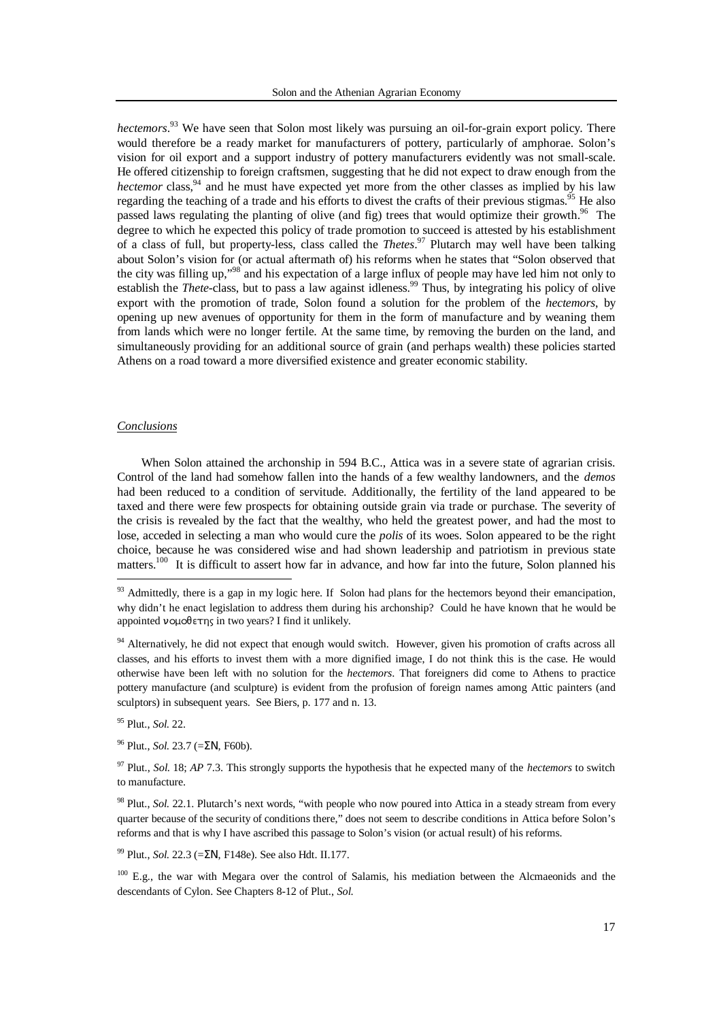*hectemors*. <sup>93</sup> We have seen that Solon most likely was pursuing an oil-for-grain export policy. There would therefore be a ready market for manufacturers of pottery, particularly of amphorae. Solon's vision for oil export and a support industry of pottery manufacturers evidently was not small-scale. He offered citizenship to foreign craftsmen, suggesting that he did not expect to draw enough from the *hectemor* class,<sup>94</sup> and he must have expected yet more from the other classes as implied by his law regarding the teaching of a trade and his efforts to divest the crafts of their previous stigmas.<sup>95</sup> He also passed laws regulating the planting of olive (and fig) trees that would optimize their growth.<sup>96</sup> The degree to which he expected this policy of trade promotion to succeed is attested by his establishment of a class of full, but property-less, class called the *Thetes*. <sup>97</sup> Plutarch may well have been talking about Solon's vision for (or actual aftermath of) his reforms when he states that "Solon observed that the city was filling up,"<sup>98</sup> and his expectation of a large influx of people may have led him not only to establish the *Thete*-class, but to pass a law against idleness.<sup>99</sup> Thus, by integrating his policy of olive export with the promotion of trade, Solon found a solution for the problem of the *hectemors*, by opening up new avenues of opportunity for them in the form of manufacture and by weaning them from lands which were no longer fertile. At the same time, by removing the burden on the land, and simultaneously providing for an additional source of grain (and perhaps wealth) these policies started Athens on a road toward a more diversified existence and greater economic stability.

## *Conclusions*

-

When Solon attained the archonship in 594 B.C., Attica was in a severe state of agrarian crisis. Control of the land had somehow fallen into the hands of a few wealthy landowners, and the *demos* had been reduced to a condition of servitude. Additionally, the fertility of the land appeared to be taxed and there were few prospects for obtaining outside grain via trade or purchase. The severity of the crisis is revealed by the fact that the wealthy, who held the greatest power, and had the most to lose, acceded in selecting a man who would cure the *polis* of its woes. Solon appeared to be the right choice, because he was considered wise and had shown leadership and patriotism in previous state matters.<sup>100</sup> It is difficult to assert how far in advance, and how far into the future, Solon planned his

<sup>94</sup> Alternatively, he did not expect that enough would switch. However, given his promotion of crafts across all classes, and his efforts to invest them with a more dignified image, I do not think this is the case. He would otherwise have been left with no solution for the *hectemors*. That foreigners did come to Athens to practice pottery manufacture (and sculpture) is evident from the profusion of foreign names among Attic painters (and sculptors) in subsequent years. See Biers, p. 177 and n. 13.

<sup>95</sup> Plut., *Sol*. 22.

<sup>96</sup> Plut., *Sol*. 23.7 (=ΣΝ, F60b).

<sup>98</sup> Plut., *Sol*. 22.1. Plutarch's next words, "with people who now poured into Attica in a steady stream from every quarter because of the security of conditions there," does not seem to describe conditions in Attica before Solon's reforms and that is why I have ascribed this passage to Solon's vision (or actual result) of his reforms.

<sup>99</sup> Plut., *Sol*. 22.3 (=*SN*, F148e). See also Hdt. II.177.

<sup>100</sup> E.g., the war with Megara over the control of Salamis, his mediation between the Alcmaeonids and the descendants of Cylon. See Chapters 8-12 of Plut., *Sol*.

 $93$  Admittedly, there is a gap in my logic here. If Solon had plans for the hectemors beyond their emancipation, why didn't he enact legislation to address them during his archonship? Could he have known that he would be appointed  $\nu$ o $\mu$  $\partial \theta$  $\epsilon$   $\tau$ <sub>n</sub> $\zeta$  in two years? I find it unlikely.

<sup>97</sup> Plut., *Sol*. 18; *AP* 7.3. This strongly supports the hypothesis that he expected many of the *hectemors* to switch to manufacture.